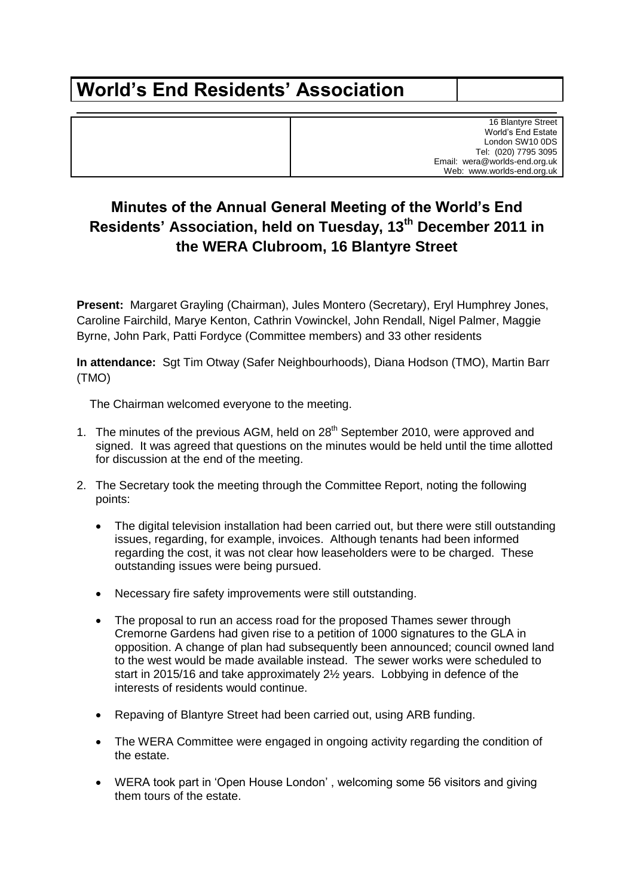## **World's End Residents' Association**

16 Blantyre Street World's End Estate London SW10 0DS Tel: (020) 7795 3095 Email: wera@worlds-end.org.uk Web: www.worlds-end.org.uk

## **Minutes of the Annual General Meeting of the World's End Residents' Association, held on Tuesday, 13th December 2011 in the WERA Clubroom, 16 Blantyre Street**

**Present:** Margaret Grayling (Chairman), Jules Montero (Secretary), Eryl Humphrey Jones, Caroline Fairchild, Marye Kenton, Cathrin Vowinckel, John Rendall, Nigel Palmer, Maggie Byrne, John Park, Patti Fordyce (Committee members) and 33 other residents

**In attendance:** Sgt Tim Otway (Safer Neighbourhoods), Diana Hodson (TMO), Martin Barr (TMO)

The Chairman welcomed everyone to the meeting.

- 1. The minutes of the previous AGM, held on 28<sup>th</sup> September 2010, were approved and signed.It was agreed that questions on the minutes would be held until the time allotted for discussion at the end of the meeting.
- 2. The Secretary took the meeting through the Committee Report, noting the following points:
	- The digital television installation had been carried out, but there were still outstanding issues, regarding, for example, invoices. Although tenants had been informed regarding the cost, it was not clear how leaseholders were to be charged. These outstanding issues were being pursued.
	- Necessary fire safety improvements were still outstanding.
	- The proposal to run an access road for the proposed Thames sewer through Cremorne Gardens had given rise to a petition of 1000 signatures to the GLA in opposition. A change of plan had subsequently been announced; council owned land to the west would be made available instead. The sewer works were scheduled to start in 2015/16 and take approximately 2½ years. Lobbying in defence of the interests of residents would continue.
	- Repaving of Blantyre Street had been carried out, using ARB funding.
	- The WERA Committee were engaged in ongoing activity regarding the condition of the estate.
	- WERA took part in 'Open House London' , welcoming some 56 visitors and giving them tours of the estate.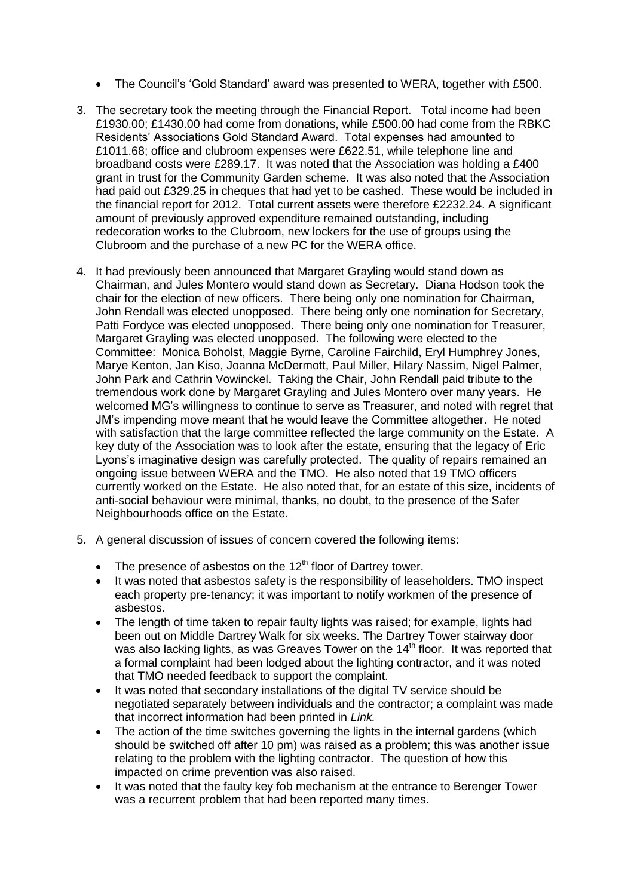- The Council's 'Gold Standard' award was presented to WERA, together with £500.
- 3. The secretary took the meeting through the Financial Report. Total income had been £1930.00; £1430.00 had come from donations, while £500.00 had come from the RBKC Residents' Associations Gold Standard Award. Total expenses had amounted to £1011.68; office and clubroom expenses were £622.51, while telephone line and broadband costs were £289.17. It was noted that the Association was holding a £400 grant in trust for the Community Garden scheme. It was also noted that the Association had paid out £329.25 in cheques that had yet to be cashed. These would be included in the financial report for 2012. Total current assets were therefore £2232.24. A significant amount of previously approved expenditure remained outstanding, including redecoration works to the Clubroom, new lockers for the use of groups using the Clubroom and the purchase of a new PC for the WERA office.
- 4. It had previously been announced that Margaret Grayling would stand down as Chairman, and Jules Montero would stand down as Secretary. Diana Hodson took the chair for the election of new officers. There being only one nomination for Chairman, John Rendall was elected unopposed. There being only one nomination for Secretary, Patti Fordyce was elected unopposed. There being only one nomination for Treasurer, Margaret Grayling was elected unopposed. The following were elected to the Committee: Monica Boholst, Maggie Byrne, Caroline Fairchild, Eryl Humphrey Jones, Marye Kenton, Jan Kiso, Joanna McDermott, Paul Miller, Hilary Nassim, Nigel Palmer, John Park and Cathrin Vowinckel. Taking the Chair, John Rendall paid tribute to the tremendous work done by Margaret Grayling and Jules Montero over many years. He welcomed MG's willingness to continue to serve as Treasurer, and noted with regret that JM's impending move meant that he would leave the Committee altogether. He noted with satisfaction that the large committee reflected the large community on the Estate. A key duty of the Association was to look after the estate, ensuring that the legacy of Eric Lyons's imaginative design was carefully protected. The quality of repairs remained an ongoing issue between WERA and the TMO. He also noted that 19 TMO officers currently worked on the Estate. He also noted that, for an estate of this size, incidents of anti-social behaviour were minimal, thanks, no doubt, to the presence of the Safer Neighbourhoods office on the Estate.
- 5. A general discussion of issues of concern covered the following items:
	- The presence of asbestos on the  $12<sup>th</sup>$  floor of Dartrey tower.
	- It was noted that asbestos safety is the responsibility of leaseholders. TMO inspect each property pre-tenancy; it was important to notify workmen of the presence of asbestos.
	- The length of time taken to repair faulty lights was raised; for example, lights had been out on Middle Dartrey Walk for six weeks. The Dartrey Tower stairway door was also lacking lights, as was Greaves Tower on the  $14<sup>th</sup>$  floor. It was reported that a formal complaint had been lodged about the lighting contractor, and it was noted that TMO needed feedback to support the complaint.
	- It was noted that secondary installations of the digital TV service should be negotiated separately between individuals and the contractor; a complaint was made that incorrect information had been printed in *Link.*
	- The action of the time switches governing the lights in the internal gardens (which should be switched off after 10 pm) was raised as a problem; this was another issue relating to the problem with the lighting contractor. The question of how this impacted on crime prevention was also raised.
	- It was noted that the faulty key fob mechanism at the entrance to Berenger Tower was a recurrent problem that had been reported many times.